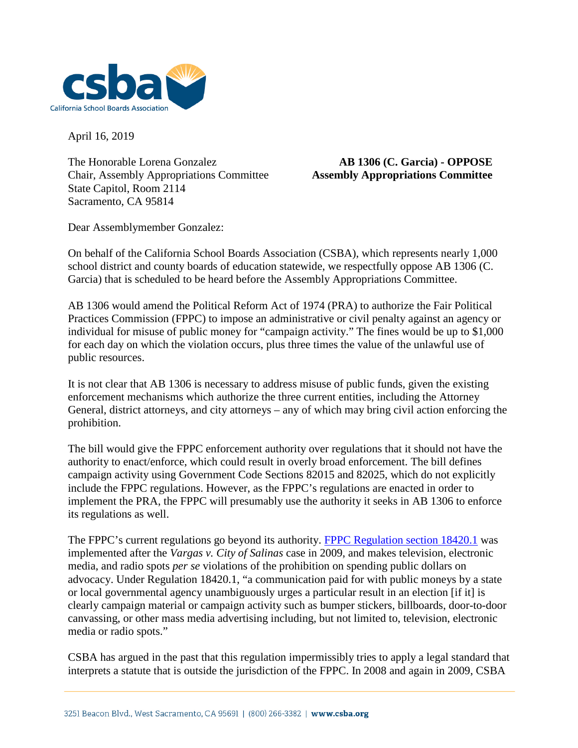

April 16, 2019

The Honorable Lorena Gonzalez **AB 1306 (C. Garcia) - OPPOSE** Chair, Assembly Appropriations Committee **Assembly Appropriations Committee** State Capitol, Room 2114 Sacramento, CA 95814

Dear Assemblymember Gonzalez:

On behalf of the California School Boards Association (CSBA), which represents nearly 1,000 school district and county boards of education statewide, we respectfully oppose AB 1306 (C. Garcia) that is scheduled to be heard before the Assembly Appropriations Committee.

AB 1306 would amend the Political Reform Act of 1974 (PRA) to authorize the Fair Political Practices Commission (FPPC) to impose an administrative or civil penalty against an agency or individual for misuse of public money for "campaign activity." The fines would be up to \$1,000 for each day on which the violation occurs, plus three times the value of the unlawful use of public resources.

It is not clear that AB 1306 is necessary to address misuse of public funds, given the existing enforcement mechanisms which authorize the three current entities, including the Attorney General, district attorneys, and city attorneys – any of which may bring civil action enforcing the prohibition.

The bill would give the FPPC enforcement authority over regulations that it should not have the authority to enact/enforce, which could result in overly broad enforcement. The bill defines campaign activity using Government Code Sections 82015 and 82025, which do not explicitly include the FPPC regulations. However, as the FPPC's regulations are enacted in order to implement the PRA, the FPPC will presumably use the authority it seeks in AB 1306 to enforce its regulations as well.

The FPPC's current regulations go beyond its authority. [FPPC Regulation section 18420.1](http://www.fppc.ca.gov/content/dam/fppc/NS-Documents/LegalDiv/Regulations/Index/Chapter4/18420.1.pdf) was implemented after the *Vargas v. City of Salinas* case in 2009, and makes television, electronic media, and radio spots *per se* violations of the prohibition on spending public dollars on advocacy. Under Regulation 18420.1, "a communication paid for with public moneys by a state or local governmental agency unambiguously urges a particular result in an election [if it] is clearly campaign material or campaign activity such as bumper stickers, billboards, door-to-door canvassing, or other mass media advertising including, but not limited to, television, electronic media or radio spots."

CSBA has argued in the past that this regulation impermissibly tries to apply a legal standard that interprets a statute that is outside the jurisdiction of the FPPC. In 2008 and again in 2009, CSBA